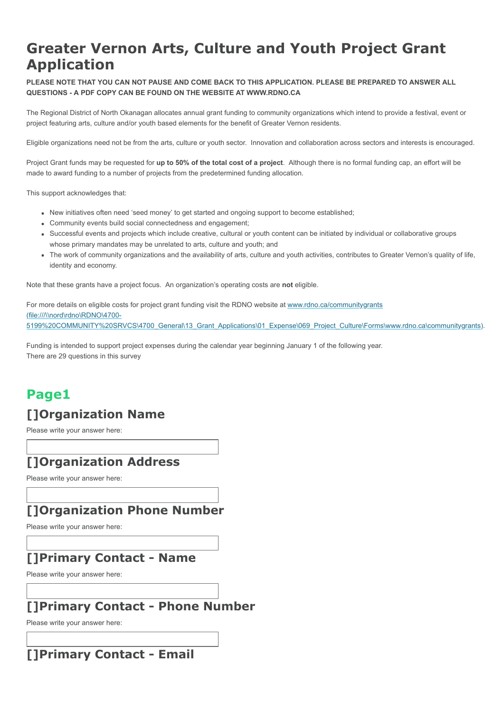# **Greater Vernon Arts, Culture and Youth Project Grant Application**

#### **PLEASE NOTE THAT YOU CAN NOT PAUSE AND COME BACK TO THIS APPLICATION. PLEASE BE PREPARED TO ANSWER ALL QUESTIONS - A PDF COPY CAN BE FOUND ON THE WEBSITE AT WWW.RDNO.CA**

The Regional District of North Okanagan allocates annual grant funding to community organizations which intend to provide a festival, event or project featuring arts, culture and/or youth based elements for the benefit of Greater Vernon residents.

Eligible organizations need not be from the arts, culture or youth sector. Innovation and collaboration across sectors and interests is encouraged.

Project Grant funds may be requested for **up to 50% of the total cost of a project**. Although there is no formal funding cap, an effort will be made to award funding to a number of projects from the predetermined funding allocation.

This support acknowledges that:

- New initiatives often need 'seed money' to get started and ongoing support to become established;
- Community events build social connectedness and engagement;
- Successful events and projects which include creative, cultural or youth content can be initiated by individual or collaborative groups whose primary mandates may be unrelated to arts, culture and youth; and
- The work of community organizations and the availability of arts, culture and youth activities, contributes to Greater Vernon's quality of life, identity and economy.

Note that these grants have a project focus. An organization's operating costs are **not** eligible.

For more details on eligible costs for project grant funding visit the RDNO website at www.rdno.ca/communitygrants (file:///\\nord\rdno\RDNO\4700- [5199%20COMMUNITY%20SRVCS\4700\\_General\13\\_Grant\\_Applications\01\\_Expense\069\\_Project\\_Culture\Forms\www.rdno.ca\communitygrants\).](file://nord/rdno/RDNO/4700-5199%20COMMUNITY%20SRVCS/4700_General/13_Grant_Applications/01_Expense/069_Project_Culture/Forms/www.rdno.ca/communitygrants)

Funding is intended to support project expenses during the calendar year beginning January 1 of the following year. There are 29 questions in this survey

# **Page1 []Organization Name**

Please write your answer here:

# **[]Organization Address**

Please write your answer here:

### **[]Organization Phone Number**

Please write your answer here:

### **[]Primary Contact - Name**

Please write your answer here:

### **[]Primary Contact - Phone Number**

Please write your answer here:

### **[]Primary Contact - Email**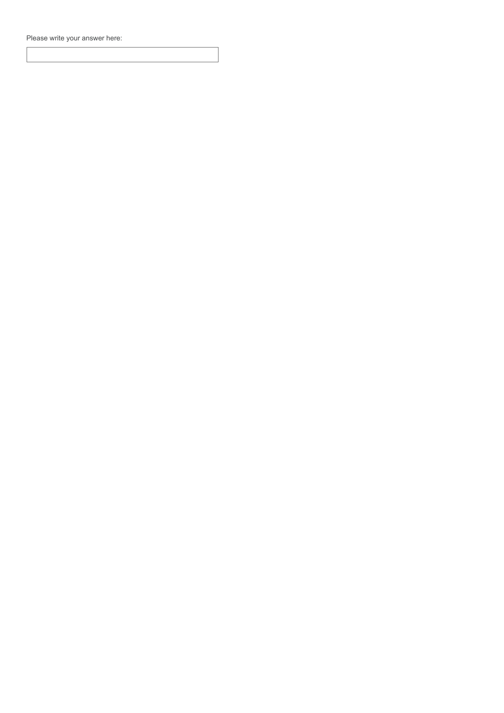Please write your answer here: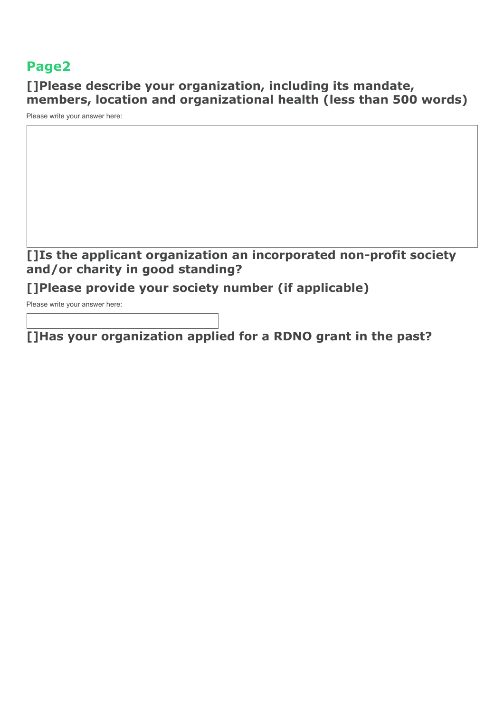### **Page2**

**[]Please describe your organization, including its mandate, members, location and organizational health (less than 500 words)**

Please write your answer here:

#### **[]Is the applicant organization an incorporated non-profit society and/or charity in good standing?**

**[]Please provide your society number (if applicable)**

Please write your answer here:

**[]Has your organization applied for a RDNO grant in the past?**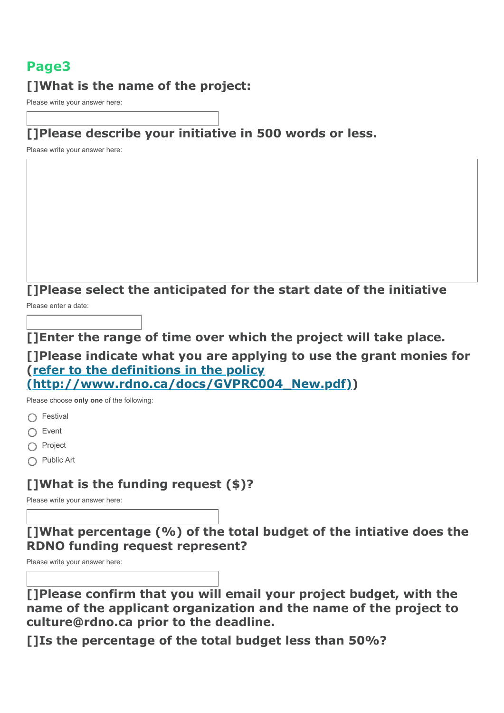# **Page3 []What is the name of the project:**

Please write your answer here:

# **[]Please describe your initiative in 500 words or less.**

Please write your answer here:

### **[]Please select the anticipated for the start date of the initiative**

Please enter a date:

**[]Enter the range of time over which the project will take place.**

**[]Please indicate what you are applying to use the grant monies for (refer to the definitions in the policy**

**[\(http://www.rdno.ca/docs/GVPRC004\\_New.pdf\)\)](http://www.rdno.ca/docs/GVPRC004_New.pdf)**

Please choose **only one** of the following:

- ∩ Festival
- ∩ Event
- n Project
- Public Art

### **[]What is the funding request (\$)?**

Please write your answer here:

**[]What percentage (%) of the total budget of the intiative does the RDNO funding request represent?**

Please write your answer here:

**[]Please confirm that you will email your project budget, with the name of the applicant organization and the name of the project to culture@rdno.ca prior to the deadline.**

**[]Is the percentage of the total budget less than 50%?**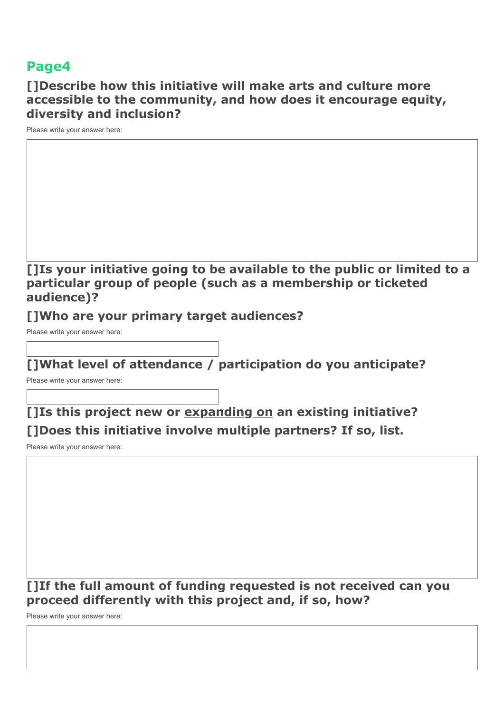### **Page4**

**[]Describe how this initiative will make arts and culture more accessible to the community, and how does it encourage equity, diversity and inclusion?**

Please write your answer here:



**[]Who are your primary target audiences?**

Please write your answer here:

# **[]What level of attendance / participation do you anticipate?**

Please write your answer here:

# **[]Is this project new or expanding on an existing initiative? []Does this initiative involve multiple partners? If so, list.**

Please write your answer here:

### **[]If the full amount of funding requested is not received can you proceed differently with this project and, if so, how?**

Please write your answer here: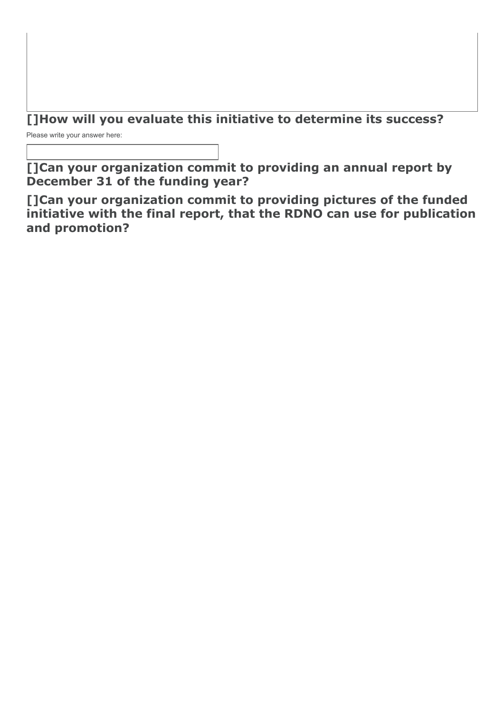### **[]How will you evaluate this initiative to determine its success?**

Please write your answer here:

**[]Can your organization commit to providing an annual report by December 31 of the funding year?**

**[]Can your organization commit to providing pictures of the funded initiative with the final report, that the RDNO can use for publication and promotion?**